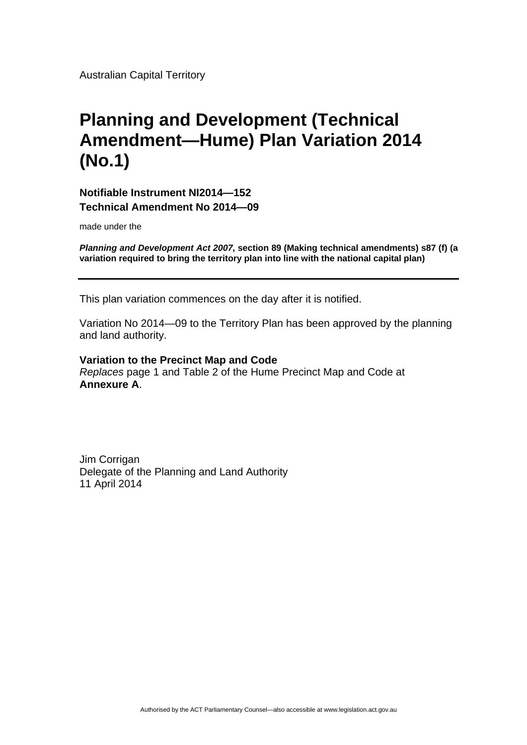Australian Capital Territory

## **Planning and Development (Technical Amendment—Hume) Plan Variation 2014 (No.1)**

**Notifiable Instrument NI2014—152 Technical Amendment No 2014—09** 

made under the

*Planning and Development Act 2007***, section 89 (Making technical amendments) s87 (f) (a variation required to bring the territory plan into line with the national capital plan)** 

This plan variation commences on the day after it is notified.

Variation No 2014—09 to the Territory Plan has been approved by the planning and land authority.

**Variation to the Precinct Map and Code**  *Replaces* page 1 and Table 2 of the Hume Precinct Map and Code at **Annexure A**.

Jim Corrigan Delegate of the Planning and Land Authority 11 April 2014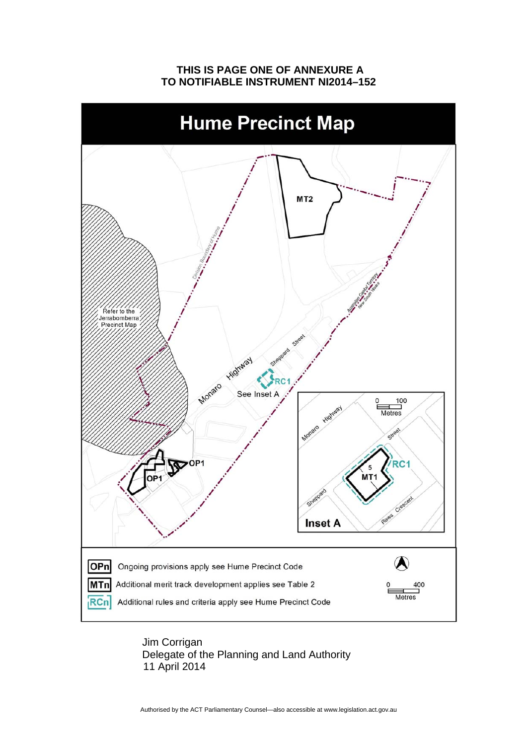## **THIS IS PAGE ONE OF ANNEXURE A TO NOTIFIABLE INSTRUMENT NI2014–152**



 Jim Corrigan Delegate of the Planning and Land Authority 11 April 2014